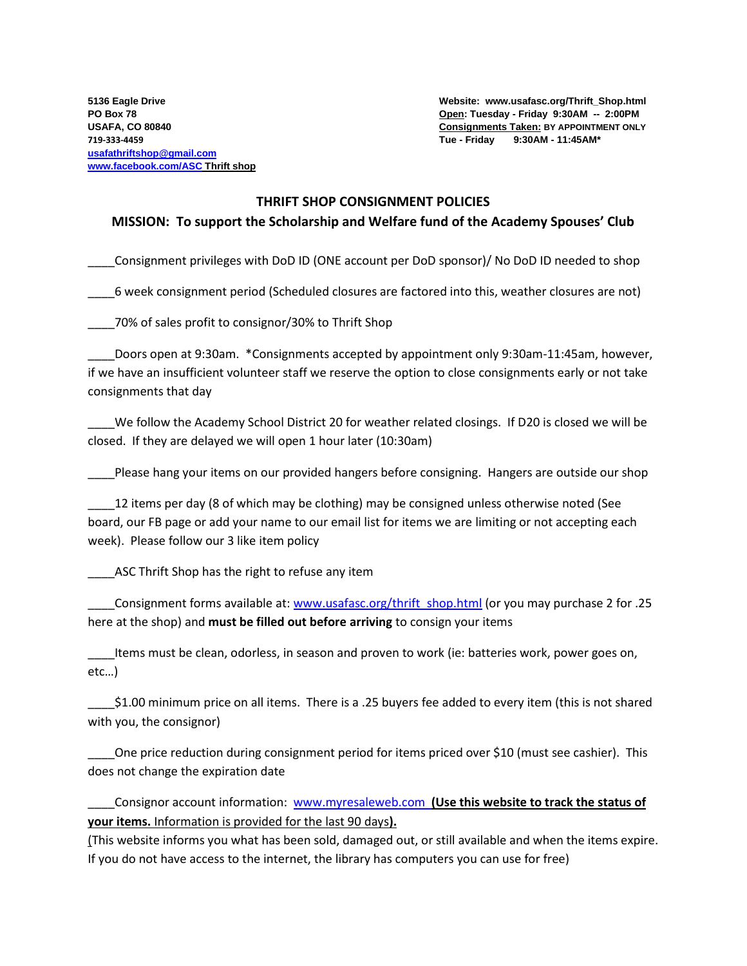**5136 Eagle Drive Website: www.usafasc.org/Thrift\_Shop.html PO Box 78 Open: Tuesday - Friday 9:30AM -- 2:00PM USAFA, CO 80840 Consignments Taken: BY APPOINTMENT ONLY** 

## **THRIFT SHOP CONSIGNMENT POLICIES**

## **MISSION: To support the Scholarship and Welfare fund of the Academy Spouses' Club**

\_\_\_\_Consignment privileges with DoD ID (ONE account per DoD sponsor)/ No DoD ID needed to shop

\_\_\_\_6 week consignment period (Scheduled closures are factored into this, weather closures are not)

\_\_\_\_70% of sales profit to consignor/30% to Thrift Shop

Doors open at 9:30am. \*Consignments accepted by appointment only 9:30am-11:45am, however, if we have an insufficient volunteer staff we reserve the option to close consignments early or not take consignments that day

We follow the Academy School District 20 for weather related closings. If D20 is closed we will be closed. If they are delayed we will open 1 hour later (10:30am)

\_\_\_\_Please hang your items on our provided hangers before consigning. Hangers are outside our shop

12 items per day (8 of which may be clothing) may be consigned unless otherwise noted (See board, our FB page or add your name to our email list for items we are limiting or not accepting each week). Please follow our 3 like item policy

ASC Thrift Shop has the right to refuse any item

Lonsignment forms available at[: www.usafasc.org/thrift\\_shop.html](http://www.usafasc.org/thrift_shop.html) (or you may purchase 2 for .25 here at the shop) and **must be filled out before arriving** to consign your items

\_\_\_\_Items must be clean, odorless, in season and proven to work (ie: batteries work, power goes on, etc…)

\_\_\_\_\$1.00 minimum price on all items. There is a .25 buyers fee added to every item (this is not shared with you, the consignor)

One price reduction during consignment period for items priced over \$10 (must see cashier). This does not change the expiration date

\_\_\_\_Consignor account information: [www.myresaleweb.com](http://www.myresaleweb.com/) **(Use this website to track the status of your items.** Information is provided for the last 90 days**).**

(This website informs you what has been sold, damaged out, or still available and when the items expire. If you do not have access to the internet, the library has computers you can use for free)